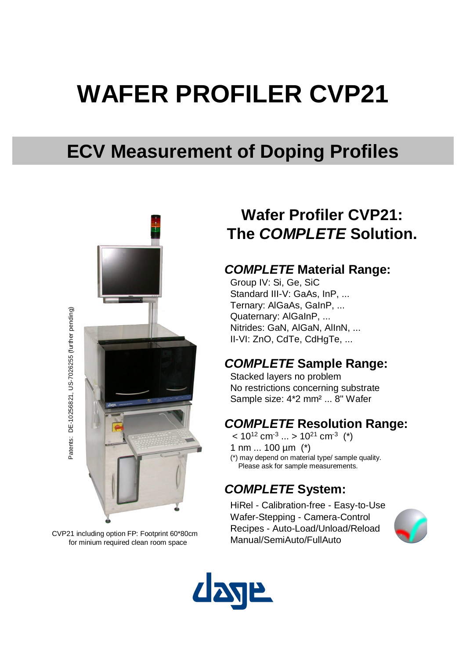# **WAFER PROFILER CVP21**

# **ECV Measurement of Doping Profiles**



CVP21 including option FP: Footprint 60\*80cm for minium required clean room space

## **Wafer Profiler CVP21: The** *COMPLETE* **Solution.**

#### *COMPLETE* **Material Range:**

Group IV: Si, Ge, SiC Standard III-V: GaAs, InP, ... Ternary: AlGaAs, GaInP, ... Quaternary: AlGaInP, ... Nitrides: GaN, AlGaN, AlInN, ... II-VI: ZnO, CdTe, CdHgTe, ...

#### *COMPLETE* **Sample Range:**

Stacked layers no problem No restrictions concerning substrate Sample size: 4\*2 mm² ... 8" Wafer

#### *COMPLETE* **Resolution Range:**

 $<$  10 $^{12}$  cm $^{-3}$  ... > 10 $^{21}$  cm $^{-3}$   $($ \*) 1 nm ... 100 µm (\*)

(\*) may depend on material type/ sample quality. Please ask for sample measurements.

#### *COMPLETE* **System:**

HiRel - Calibration-free - Easy-to-Use Wafer-Stepping - Camera-Control Recipes - Auto-Load/Unload/Reload Manual/SemiAuto/FullAuto